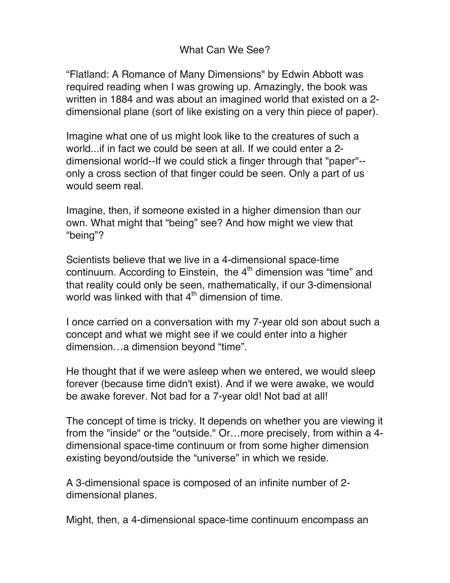## What Can We See?

"Flatland: A Romance of Many Dimensions" by Edwin Abbott was required reading when I was growing up. Amazingly, the book was written in 1884 and was about an imagined world that existed on a 2 dimensional plane (sort of like existing on a very thin piece of paper).

Imagine what one of us might look like to the creatures of such a world...if in fact we could be seen at all. If we could enter a 2 dimensional world--If we could stick a finger through that "paper"- only a cross section of that finger could be seen. Only a part of us would seem real.

Imagine, then, if someone existed in a higher dimension than our own. What might that "being" see? And how might we view that "being"?

Scientists believe that we live in a 4-dimensional space-time continuum. According to Einstein, the  $4<sup>th</sup>$  dimension was "time" and that reality could only be seen, mathematically, if our 3-dimensional world was linked with that  $4<sup>th</sup>$  dimension of time.

I once carried on a conversation with my 7-year old son about such a concept and what we might see if we could enter into a higher dimension…a dimension beyond "time".

He thought that if we were asleep when we entered, we would sleep forever (because time didn't exist). And if we were awake, we would be awake forever. Not bad for a 7-year old! Not bad at all!

The concept of time is tricky. It depends on whether you are viewing it from the "inside" or the "outside." Or…more precisely, from within a 4 dimensional space-time continuum or from some higher dimension existing beyond/outside the "universe" in which we reside.

A 3-dimensional space is composed of an infinite number of 2 dimensional planes.

Might, then, a 4-dimensional space-time continuum encompass an